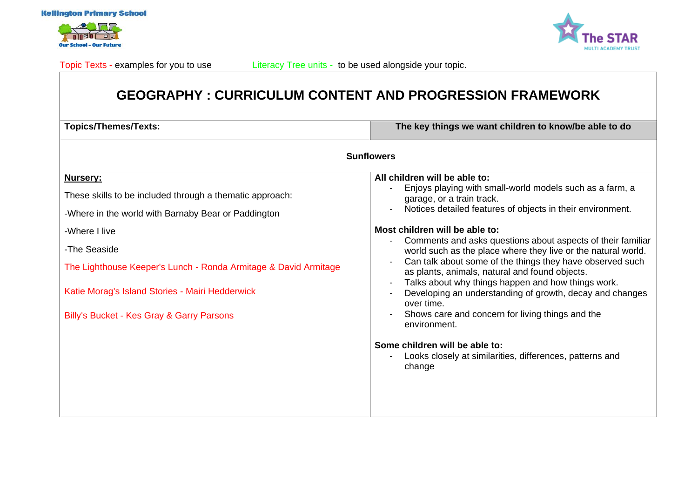

**Our School - Our Futur** 



# **GEOGRAPHY : CURRICULUM CONTENT AND PROGRESSION FRAMEWORK**

| <b>Topics/Themes/Texts:</b>                                     | The key things we want children to know/be able to do                                                                                                                                                                                                                                                                                                                                                                                                                             |  |
|-----------------------------------------------------------------|-----------------------------------------------------------------------------------------------------------------------------------------------------------------------------------------------------------------------------------------------------------------------------------------------------------------------------------------------------------------------------------------------------------------------------------------------------------------------------------|--|
| <b>Sunflowers</b>                                               |                                                                                                                                                                                                                                                                                                                                                                                                                                                                                   |  |
| Nursery:                                                        | All children will be able to:                                                                                                                                                                                                                                                                                                                                                                                                                                                     |  |
| These skills to be included through a thematic approach:        | Enjoys playing with small-world models such as a farm, a<br>garage, or a train track.<br>Notices detailed features of objects in their environment.                                                                                                                                                                                                                                                                                                                               |  |
| -Where in the world with Barnaby Bear or Paddington             |                                                                                                                                                                                                                                                                                                                                                                                                                                                                                   |  |
| -Where I live                                                   | Most children will be able to:<br>Comments and asks questions about aspects of their familiar<br>world such as the place where they live or the natural world.<br>Can talk about some of the things they have observed such<br>as plants, animals, natural and found objects.<br>Talks about why things happen and how things work.<br>Developing an understanding of growth, decay and changes<br>over time.<br>Shows care and concern for living things and the<br>environment. |  |
| -The Seaside                                                    |                                                                                                                                                                                                                                                                                                                                                                                                                                                                                   |  |
| The Lighthouse Keeper's Lunch - Ronda Armitage & David Armitage |                                                                                                                                                                                                                                                                                                                                                                                                                                                                                   |  |
| Katie Morag's Island Stories - Mairi Hedderwick                 |                                                                                                                                                                                                                                                                                                                                                                                                                                                                                   |  |
| Billy's Bucket - Kes Gray & Garry Parsons                       |                                                                                                                                                                                                                                                                                                                                                                                                                                                                                   |  |
|                                                                 | Some children will be able to:<br>Looks closely at similarities, differences, patterns and<br>change                                                                                                                                                                                                                                                                                                                                                                              |  |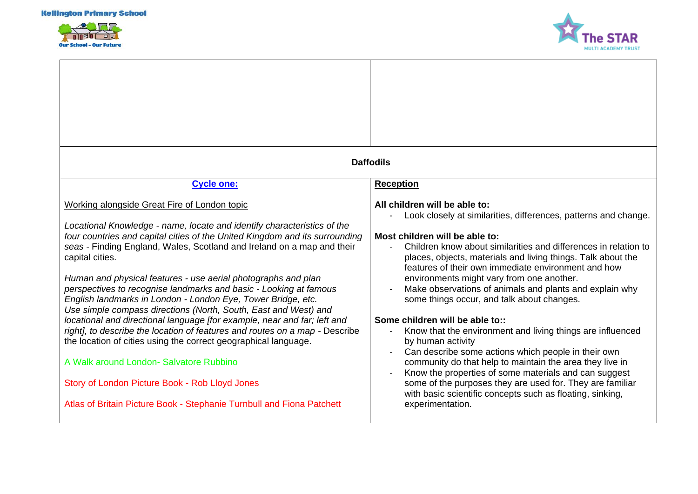



| <b>Daffodils</b>                                                                                                                                                                                                                                                                                                                                                                                                                                                                                                                                                                                                                                                                                                                                                                                                                                                                                                                                                                 |                                                                                                                                                                                                                                                                                                                                                                                                                                                                                                                                                                                                                                                                                                                                                                                                                                                                                                                                    |  |
|----------------------------------------------------------------------------------------------------------------------------------------------------------------------------------------------------------------------------------------------------------------------------------------------------------------------------------------------------------------------------------------------------------------------------------------------------------------------------------------------------------------------------------------------------------------------------------------------------------------------------------------------------------------------------------------------------------------------------------------------------------------------------------------------------------------------------------------------------------------------------------------------------------------------------------------------------------------------------------|------------------------------------------------------------------------------------------------------------------------------------------------------------------------------------------------------------------------------------------------------------------------------------------------------------------------------------------------------------------------------------------------------------------------------------------------------------------------------------------------------------------------------------------------------------------------------------------------------------------------------------------------------------------------------------------------------------------------------------------------------------------------------------------------------------------------------------------------------------------------------------------------------------------------------------|--|
| <b>Cycle one:</b>                                                                                                                                                                                                                                                                                                                                                                                                                                                                                                                                                                                                                                                                                                                                                                                                                                                                                                                                                                | <b>Reception</b>                                                                                                                                                                                                                                                                                                                                                                                                                                                                                                                                                                                                                                                                                                                                                                                                                                                                                                                   |  |
| Working alongside Great Fire of London topic<br>Locational Knowledge - name, locate and identify characteristics of the<br>four countries and capital cities of the United Kingdom and its surrounding<br>seas - Finding England, Wales, Scotland and Ireland on a map and their<br>capital cities.<br>Human and physical features - use aerial photographs and plan<br>perspectives to recognise landmarks and basic - Looking at famous<br>English landmarks in London - London Eye, Tower Bridge, etc.<br>Use simple compass directions (North, South, East and West) and<br>locational and directional language [for example, near and far; left and<br>right], to describe the location of features and routes on a map - Describe<br>the location of cities using the correct geographical language.<br>A Walk around London- Salvatore Rubbino<br>Story of London Picture Book - Rob Lloyd Jones<br>Atlas of Britain Picture Book - Stephanie Turnbull and Fiona Patchett | All children will be able to:<br>Look closely at similarities, differences, patterns and change.<br>Most children will be able to:<br>Children know about similarities and differences in relation to<br>places, objects, materials and living things. Talk about the<br>features of their own immediate environment and how<br>environments might vary from one another.<br>Make observations of animals and plants and explain why<br>some things occur, and talk about changes.<br>Some children will be able to::<br>Know that the environment and living things are influenced<br>by human activity<br>Can describe some actions which people in their own<br>community do that help to maintain the area they live in<br>Know the properties of some materials and can suggest<br>some of the purposes they are used for. They are familiar<br>with basic scientific concepts such as floating, sinking,<br>experimentation. |  |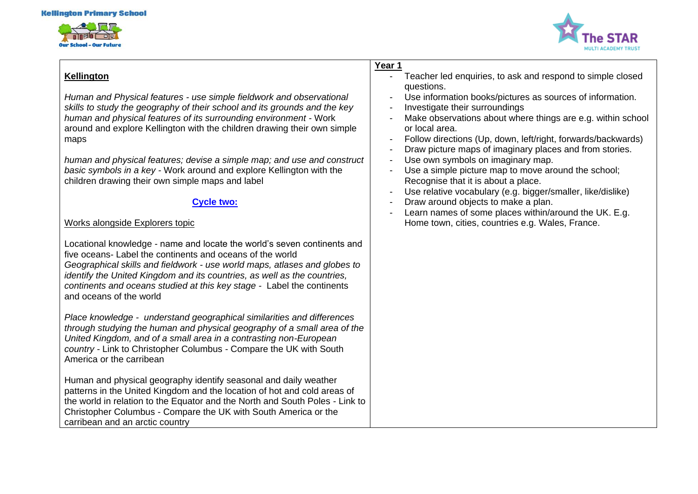



# **Kellington**

*Human and Physical features - use simple fieldwork and observational skills to study the geography of their school and its grounds and the key human and physical features of its surrounding environment -* Work around and explore Kellington with the children drawing their own simple maps

*human and physical features; devise a simple map; and use and construct basic symbols in a key -* Work around and explore Kellington with the children drawing their own simple maps and label

## **Cycle two:**

# Works alongside Explorers topic

Locational knowledge - name and locate the world's seven continents and five oceans- Label the continents and oceans of the world *Geographical skills and fieldwork - use world maps, atlases and globes to identify the United Kingdom and its countries, as well as the countries, continents and oceans studied at this key stage -* Label the continents and oceans of the world

*Place knowledge - understand geographical similarities and differences through studying the human and physical geography of a small area of the United Kingdom, and of a small area in a contrasting non-European country -* Link to Christopher Columbus - Compare the UK with South America or the carribean

Human and physical geography identify seasonal and daily weather patterns in the United Kingdom and the location of hot and cold areas of the world in relation to the Equator and the North and South Poles - Link to Christopher Columbus - Compare the UK with South America or the carribean and an arctic country

### **Year 1**

- Teacher led enquiries, to ask and respond to simple closed questions.
- Use information books/pictures as sources of information.
- Investigate their surroundings
- Make observations about where things are e.g. within school or local area.
- Follow directions (Up, down, left/right, forwards/backwards)
- Draw picture maps of imaginary places and from stories.
- Use own symbols on imaginary map.
- Use a simple picture map to move around the school; Recognise that it is about a place.
- Use relative vocabulary (e.g. bigger/smaller, like/dislike)
- Draw around objects to make a plan.
- Learn names of some places within/around the UK. E.g. Home town, cities, countries e.g. Wales, France.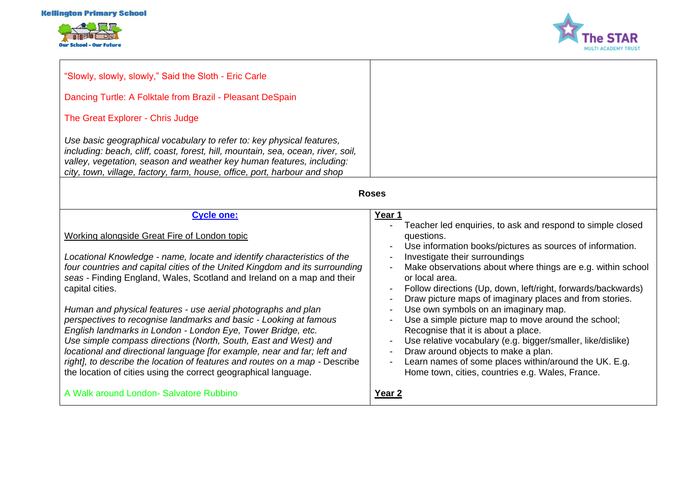



| "Slowly, slowly, slowly," Said the Sloth - Eric Carle<br>Dancing Turtle: A Folktale from Brazil - Pleasant DeSpain<br>The Great Explorer - Chris Judge<br>Use basic geographical vocabulary to refer to: key physical features,<br>including: beach, cliff, coast, forest, hill, mountain, sea, ocean, river, soil,<br>valley, vegetation, season and weather key human features, including:<br>city, town, village, factory, farm, house, office, port, harbour and shop<br><b>Roses</b>                                                                                                                                                                                                                                                                                                                                                                                  |                                                                                                                                                                                                                                                                                                                                                                                                                                                                                                                                                                                                                                                                                                                                                                                                         |
|----------------------------------------------------------------------------------------------------------------------------------------------------------------------------------------------------------------------------------------------------------------------------------------------------------------------------------------------------------------------------------------------------------------------------------------------------------------------------------------------------------------------------------------------------------------------------------------------------------------------------------------------------------------------------------------------------------------------------------------------------------------------------------------------------------------------------------------------------------------------------|---------------------------------------------------------------------------------------------------------------------------------------------------------------------------------------------------------------------------------------------------------------------------------------------------------------------------------------------------------------------------------------------------------------------------------------------------------------------------------------------------------------------------------------------------------------------------------------------------------------------------------------------------------------------------------------------------------------------------------------------------------------------------------------------------------|
| <b>Cycle one:</b><br>Working alongside Great Fire of London topic<br>Locational Knowledge - name, locate and identify characteristics of the<br>four countries and capital cities of the United Kingdom and its surrounding<br>seas - Finding England, Wales, Scotland and Ireland on a map and their<br>capital cities.<br>Human and physical features - use aerial photographs and plan<br>perspectives to recognise landmarks and basic - Looking at famous<br>English landmarks in London - London Eye, Tower Bridge, etc.<br>Use simple compass directions (North, South, East and West) and<br>locational and directional language [for example, near and far; left and<br>right], to describe the location of features and routes on a map - Describe<br>the location of cities using the correct geographical language.<br>A Walk around London- Salvatore Rubbino | Year 1<br>Teacher led enquiries, to ask and respond to simple closed<br>questions.<br>Use information books/pictures as sources of information.<br>Investigate their surroundings<br>Make observations about where things are e.g. within school<br>or local area.<br>Follow directions (Up, down, left/right, forwards/backwards)<br>Draw picture maps of imaginary places and from stories.<br>Use own symbols on an imaginary map.<br>Use a simple picture map to move around the school;<br>Recognise that it is about a place.<br>Use relative vocabulary (e.g. bigger/smaller, like/dislike)<br>$\overline{\phantom{a}}$<br>Draw around objects to make a plan.<br>Learn names of some places within/around the UK. E.g.<br>Home town, cities, countries e.g. Wales, France.<br>Year <sub>2</sub> |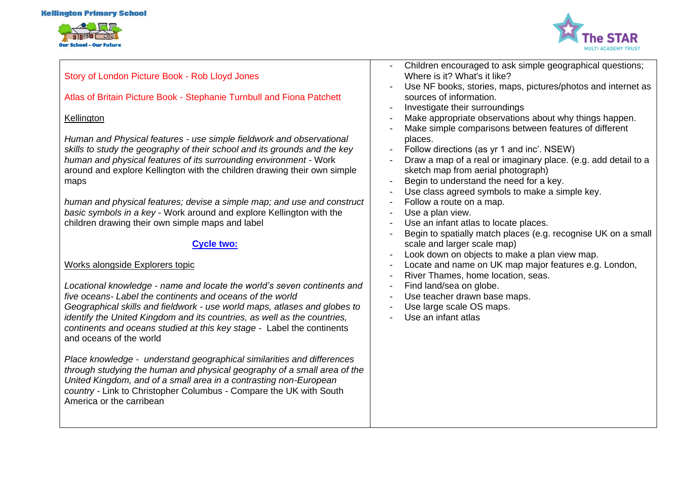



# Story of London Picture Book - Rob Lloyd Jones

Atlas of Britain Picture Book - Stephanie Turnbull and Fiona Patchett

## **Kellington**

*Human and Physical features - use simple fieldwork and observational skills to study the geography of their school and its grounds and the key human and physical features of its surrounding environment -* Work around and explore Kellington with the children drawing their own simple maps

*human and physical features; devise a simple map; and use and construct basic symbols in a key* - Work around and explore Kellington with the children drawing their own simple maps and label

# **Cycle two:**

# Works alongside Explorers topic

*Locational knowledge - name and locate the world's seven continents and five oceans- Label the continents and oceans of the world Geographical skills and fieldwork - use world maps, atlases and globes to identify the United Kingdom and its countries, as well as the countries, continents and oceans studied at this key stage -* Label the continents and oceans of the world

*Place knowledge - understand geographical similarities and differences through studying the human and physical geography of a small area of the United Kingdom, and of a small area in a contrasting non-European country -* Link to Christopher Columbus - Compare the UK with South America or the carribean

- Children encouraged to ask simple geographical questions; Where is it? What's it like?
- Use NF books, stories, maps, pictures/photos and internet as sources of information.
- Investigate their surroundings
- Make appropriate observations about why things happen.
- Make simple comparisons between features of different places.
- Follow directions (as yr 1 and inc'. NSEW)
- Draw a map of a real or imaginary place. (e.g. add detail to a sketch map from aerial photograph)
- Begin to understand the need for a key.
- Use class agreed symbols to make a simple key.
- Follow a route on a map.
- Use a plan view.
- Use an infant atlas to locate places.
- Begin to spatially match places (e.g. recognise UK on a small scale and larger scale map)
- Look down on objects to make a plan view map.
- Locate and name on UK map major features e.g. London,
- River Thames, home location, seas.
- Find land/sea on globe.
- Use teacher drawn base maps.
- Use large scale OS maps.
- Use an infant atlas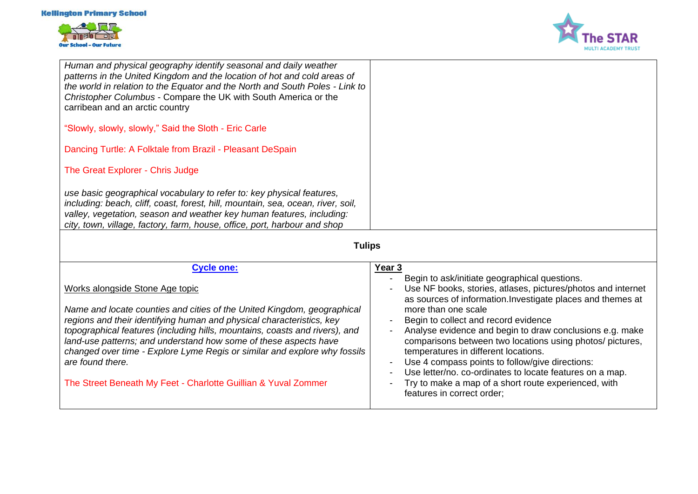



| Human and physical geography identify seasonal and daily weather<br>patterns in the United Kingdom and the location of hot and cold areas of<br>the world in relation to the Equator and the North and South Poles - Link to<br>Christopher Columbus - Compare the UK with South America or the<br>carribean and an arctic country<br>"Slowly, slowly, slowly," Said the Sloth - Eric Carle<br>Dancing Turtle: A Folktale from Brazil - Pleasant DeSpain<br>The Great Explorer - Chris Judge<br>use basic geographical vocabulary to refer to: key physical features,<br>including: beach, cliff, coast, forest, hill, mountain, sea, ocean, river, soil,<br>valley, vegetation, season and weather key human features, including: |                                                                                                                                                                                                                                                                                                                                                                                                                                                                                                                                                                                                                                               |  |
|------------------------------------------------------------------------------------------------------------------------------------------------------------------------------------------------------------------------------------------------------------------------------------------------------------------------------------------------------------------------------------------------------------------------------------------------------------------------------------------------------------------------------------------------------------------------------------------------------------------------------------------------------------------------------------------------------------------------------------|-----------------------------------------------------------------------------------------------------------------------------------------------------------------------------------------------------------------------------------------------------------------------------------------------------------------------------------------------------------------------------------------------------------------------------------------------------------------------------------------------------------------------------------------------------------------------------------------------------------------------------------------------|--|
| city, town, village, factory, farm, house, office, port, harbour and shop                                                                                                                                                                                                                                                                                                                                                                                                                                                                                                                                                                                                                                                          |                                                                                                                                                                                                                                                                                                                                                                                                                                                                                                                                                                                                                                               |  |
| <b>Tulips</b>                                                                                                                                                                                                                                                                                                                                                                                                                                                                                                                                                                                                                                                                                                                      |                                                                                                                                                                                                                                                                                                                                                                                                                                                                                                                                                                                                                                               |  |
| <b>Cycle one:</b>                                                                                                                                                                                                                                                                                                                                                                                                                                                                                                                                                                                                                                                                                                                  | Year 3                                                                                                                                                                                                                                                                                                                                                                                                                                                                                                                                                                                                                                        |  |
| Works alongside Stone Age topic<br>Name and locate counties and cities of the United Kingdom, geographical<br>regions and their identifying human and physical characteristics, key<br>topographical features (including hills, mountains, coasts and rivers), and<br>land-use patterns; and understand how some of these aspects have<br>changed over time - Explore Lyme Regis or similar and explore why fossils<br>are found there.<br>The Street Beneath My Feet - Charlotte Guillian & Yuval Zommer                                                                                                                                                                                                                          | Begin to ask/initiate geographical questions.<br>$\overline{\phantom{a}}$<br>Use NF books, stories, atlases, pictures/photos and internet<br>as sources of information. Investigate places and themes at<br>more than one scale<br>Begin to collect and record evidence<br>Analyse evidence and begin to draw conclusions e.g. make<br>comparisons between two locations using photos/ pictures,<br>temperatures in different locations.<br>Use 4 compass points to follow/give directions:<br>Use letter/no. co-ordinates to locate features on a map.<br>Try to make a map of a short route experienced, with<br>features in correct order; |  |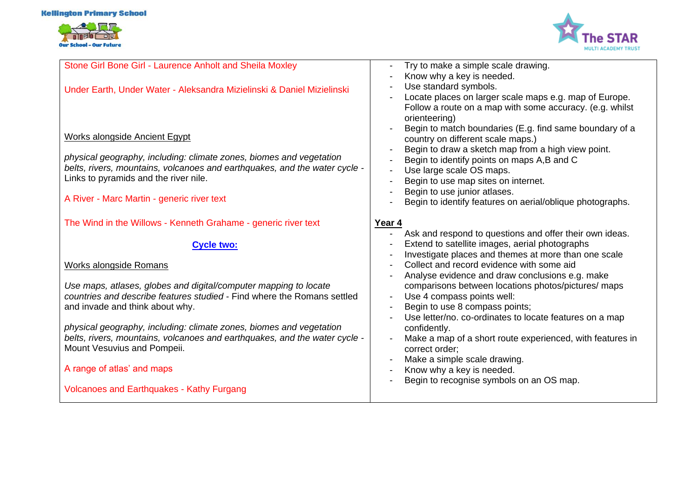#### **Kellington Primary School**





| Stone Girl Bone Girl - Laurence Anholt and Sheila Moxley                                                                                          | Try to make a simple scale drawing.                                               |
|---------------------------------------------------------------------------------------------------------------------------------------------------|-----------------------------------------------------------------------------------|
|                                                                                                                                                   | Know why a key is needed.                                                         |
| Under Earth, Under Water - Aleksandra Mizielinski & Daniel Mizielinski                                                                            | Use standard symbols.<br>Locate places on larger scale maps e.g. map of Europe.   |
|                                                                                                                                                   | Follow a route on a map with some accuracy. (e.g. whilst                          |
|                                                                                                                                                   | orienteering)                                                                     |
|                                                                                                                                                   | Begin to match boundaries (E.g. find same boundary of a                           |
| <b>Works alongside Ancient Egypt</b>                                                                                                              | country on different scale maps.)                                                 |
|                                                                                                                                                   | Begin to draw a sketch map from a high view point.                                |
| physical geography, including: climate zones, biomes and vegetation<br>belts, rivers, mountains, volcanoes and earthquakes, and the water cycle - | Begin to identify points on maps A,B and C                                        |
| Links to pyramids and the river nile.                                                                                                             | Use large scale OS maps.                                                          |
|                                                                                                                                                   | Begin to use map sites on internet.<br>Begin to use junior atlases.               |
| A River - Marc Martin - generic river text                                                                                                        | Begin to identify features on aerial/oblique photographs.                         |
|                                                                                                                                                   |                                                                                   |
| The Wind in the Willows - Kenneth Grahame - generic river text                                                                                    | Year 4                                                                            |
|                                                                                                                                                   | Ask and respond to questions and offer their own ideas.                           |
|                                                                                                                                                   |                                                                                   |
| <b>Cycle two:</b>                                                                                                                                 | Extend to satellite images, aerial photographs                                    |
|                                                                                                                                                   | Investigate places and themes at more than one scale                              |
| Works alongside Romans                                                                                                                            | Collect and record evidence with some aid                                         |
|                                                                                                                                                   | Analyse evidence and draw conclusions e.g. make                                   |
| Use maps, atlases, globes and digital/computer mapping to locate<br>countries and describe features studied - Find where the Romans settled       | comparisons between locations photos/pictures/ maps<br>Use 4 compass points well: |
| and invade and think about why.                                                                                                                   | Begin to use 8 compass points;                                                    |
|                                                                                                                                                   | Use letter/no. co-ordinates to locate features on a map                           |
| physical geography, including: climate zones, biomes and vegetation                                                                               | confidently.                                                                      |
| belts, rivers, mountains, volcanoes and earthquakes, and the water cycle -                                                                        | Make a map of a short route experienced, with features in                         |
| Mount Vesuvius and Pompeii.                                                                                                                       | correct order;                                                                    |
|                                                                                                                                                   | Make a simple scale drawing.                                                      |
| A range of atlas' and maps                                                                                                                        | Know why a key is needed.                                                         |
| <b>Volcanoes and Earthquakes - Kathy Furgang</b>                                                                                                  | Begin to recognise symbols on an OS map.                                          |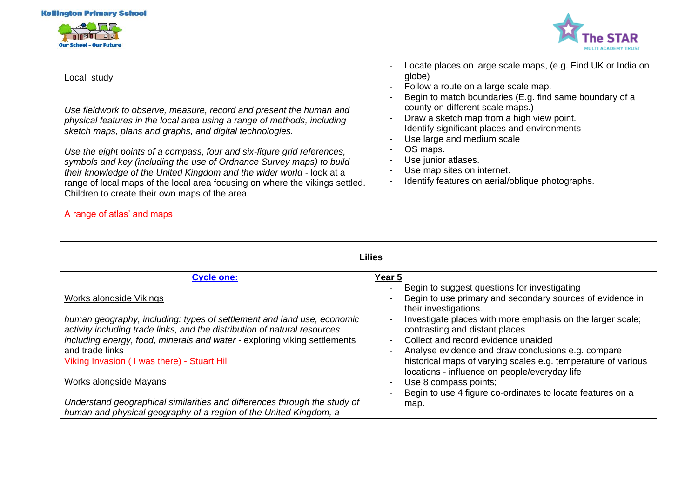



| Local study<br>Use fieldwork to observe, measure, record and present the human and<br>physical features in the local area using a range of methods, including<br>sketch maps, plans and graphs, and digital technologies.<br>Use the eight points of a compass, four and six-figure grid references,<br>symbols and key (including the use of Ordnance Survey maps) to build<br>their knowledge of the United Kingdom and the wider world - look at a<br>range of local maps of the local area focusing on where the vikings settled.<br>Children to create their own maps of the area.<br>A range of atlas' and maps | Locate places on large scale maps, (e.g. Find UK or India on<br>globe)<br>Follow a route on a large scale map.<br>Begin to match boundaries (E.g. find same boundary of a<br>county on different scale maps.)<br>Draw a sketch map from a high view point.<br>Identify significant places and environments<br>Use large and medium scale<br>OS maps.<br>Use junior atlases.<br>Use map sites on internet.<br>Identify features on aerial/oblique photographs.                                                                                    |  |
|-----------------------------------------------------------------------------------------------------------------------------------------------------------------------------------------------------------------------------------------------------------------------------------------------------------------------------------------------------------------------------------------------------------------------------------------------------------------------------------------------------------------------------------------------------------------------------------------------------------------------|--------------------------------------------------------------------------------------------------------------------------------------------------------------------------------------------------------------------------------------------------------------------------------------------------------------------------------------------------------------------------------------------------------------------------------------------------------------------------------------------------------------------------------------------------|--|
| <b>Lilies</b>                                                                                                                                                                                                                                                                                                                                                                                                                                                                                                                                                                                                         |                                                                                                                                                                                                                                                                                                                                                                                                                                                                                                                                                  |  |
| <b>Cycle one:</b>                                                                                                                                                                                                                                                                                                                                                                                                                                                                                                                                                                                                     | Year 5                                                                                                                                                                                                                                                                                                                                                                                                                                                                                                                                           |  |
| <b>Works alongside Vikings</b><br>human geography, including: types of settlement and land use, economic<br>activity including trade links, and the distribution of natural resources<br>including energy, food, minerals and water - exploring viking settlements<br>and trade links<br>Viking Invasion ( I was there) - Stuart Hill<br><b>Works alongside Mayans</b><br>Understand geographical similarities and differences through the study of<br>human and physical geography of a region of the United Kingdom, a                                                                                              | Begin to suggest questions for investigating<br>Begin to use primary and secondary sources of evidence in<br>their investigations.<br>Investigate places with more emphasis on the larger scale;<br>contrasting and distant places<br>Collect and record evidence unaided<br>Analyse evidence and draw conclusions e.g. compare<br>historical maps of varying scales e.g. temperature of various<br>locations - influence on people/everyday life<br>Use 8 compass points;<br>Begin to use 4 figure co-ordinates to locate features on a<br>map. |  |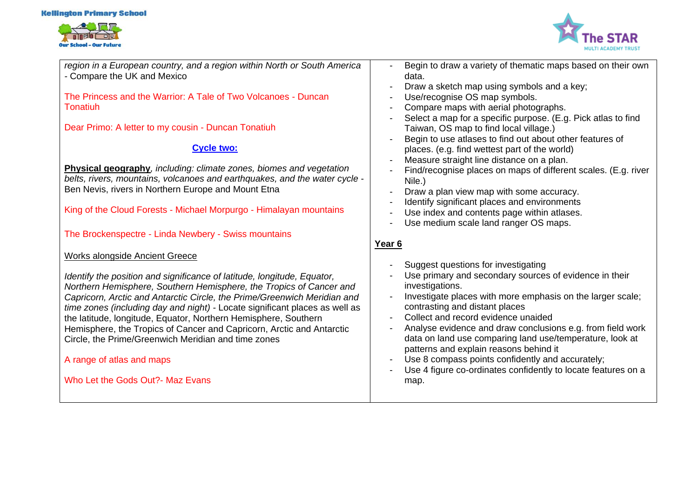#### **Kellington Primary School**





*region in a European country, and a region within North or South America -* Compare the UK and Mexico

The Princess and the Warrior: A Tale of Two Volcanoes - Duncan Tonatiuh

Dear Primo: A letter to my cousin - Duncan Tonatiuh

# **Cycle two:**

**Physical geography***, including: climate zones, biomes and vegetation belts, rivers, mountains, volcanoes and earthquakes, and the water cycle* - Ben Nevis, rivers in Northern Europe and Mount Etna

King of the Cloud Forests - Michael Morpurgo - Himalayan mountains

The Brockenspectre - Linda Newbery - Swiss mountains

### Works alongside Ancient Greece

*Identify the position and significance of latitude, longitude, Equator, Northern Hemisphere, Southern Hemisphere, the Tropics of Cancer and Capricorn, Arctic and Antarctic Circle, the Prime/Greenwich Meridian and time zones (including day and night) -* Locate significant places as well as the latitude, longitude, Equator, Northern Hemisphere, Southern Hemisphere, the Tropics of Cancer and Capricorn, Arctic and Antarctic Circle, the Prime/Greenwich Meridian and time zones

A range of atlas and maps

Who Let the Gods Out?- Maz Evans

- Begin to draw a variety of thematic maps based on their own data.
- Draw a sketch map using symbols and a key:
- Use/recognise OS map symbols.
- Compare maps with aerial photographs.
- Select a map for a specific purpose. (E.g. Pick atlas to find Taiwan, OS map to find local village.)
- Begin to use atlases to find out about other features of places. (e.g. find wettest part of the world)
- Measure straight line distance on a plan.
- Find/recognise places on maps of different scales. (E.g. river Nile.)
- Draw a plan view map with some accuracy.
- Identify significant places and environments
- Use index and contents page within atlases.
- Use medium scale land ranger OS maps.

# **Year 6**

- Suggest questions for investigating
- Use primary and secondary sources of evidence in their investigations.
- Investigate places with more emphasis on the larger scale; contrasting and distant places
- Collect and record evidence unaided
- Analyse evidence and draw conclusions e.g. from field work data on land use comparing land use/temperature, look at patterns and explain reasons behind it
- Use 8 compass points confidently and accurately;
- Use 4 figure co-ordinates confidently to locate features on a map.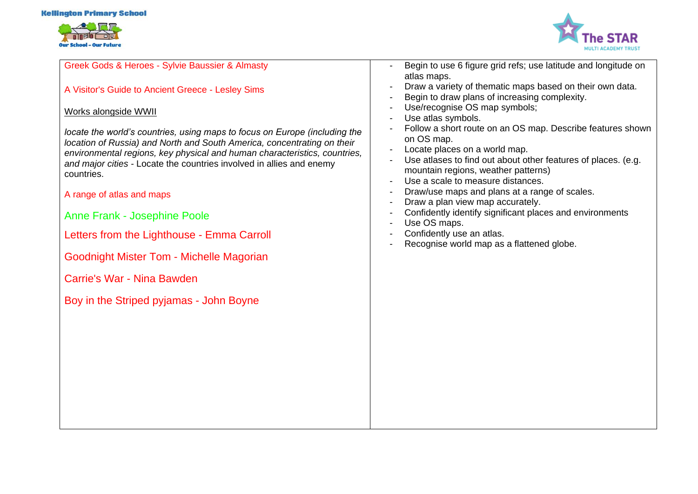#### **Kellington Primary School**





Greek Gods & Heroes - Sylvie Baussier & Almasty

A Visitor's Guide to Ancient Greece - Lesley Sims

# Works alongside WWII

*locate the world's countries, using maps to focus on Europe (including the location of Russia) and North and South America, concentrating on their environmental regions, key physical and human characteristics, countries, and major cities -* Locate the countries involved in allies and enemy countries.

A range of atlas and maps

Anne Frank - Josephine Poole

Letters from the Lighthouse - Emma Carroll

Goodnight Mister Tom - Michelle Magorian

Carrie's War - Nina Bawden

Boy in the Striped pyjamas - John Boyne

- Begin to use 6 figure grid refs; use latitude and longitude on atlas maps.
- Draw a variety of thematic maps based on their own data.
- Begin to draw plans of increasing complexity.
- Use/recognise OS map symbols;
- Use atlas symbols.
- Follow a short route on an OS map. Describe features shown on OS map.
- Locate places on a world map.
- Use atlases to find out about other features of places. (e.g. mountain regions, weather patterns)
- Use a scale to measure distances.
- Draw/use maps and plans at a range of scales.
- Draw a plan view map accurately.
- Confidently identify significant places and environments
- Use OS maps.
- Confidently use an atlas.
- Recognise world map as a flattened globe.